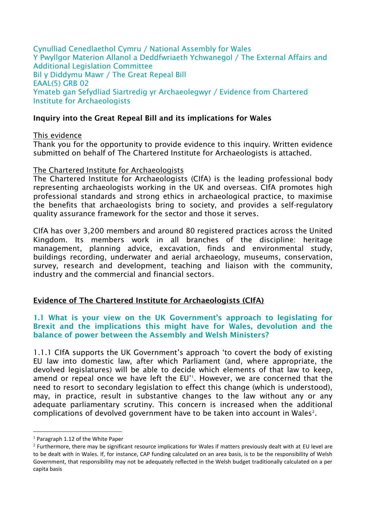Cynulliad Cenedlaethol Cymru / National Assembly for Wales Y Pwyllgor Materion Allanol a Deddfwriaeth Ychwanegol / The External Affairs and Additional Legislation Committee Bil y Diddymu Mawr / The Great Repeal Bill EAAL(5) GRB 02 Ymateb gan Sefydliad Siartredig yr Archaeolegwyr / Evidence from Chartered Institute for Archaeologists

### **Inquiry into the Great Repeal Bill and its implications for Wales**

#### This evidence

Thank you for the opportunity to provide evidence to this inquiry. Written evidence submitted on behalf of The Chartered Institute for Archaeologists is attached.

#### The Chartered Institute for Archaeologists

The Chartered Institute for Archaeologists (CIfA) is the leading professional body representing archaeologists working in the UK and overseas. CIfA promotes high professional standards and strong ethics in archaeological practice, to maximise the benefits that archaeologists bring to society, and provides a self-regulatory quality assurance framework for the sector and those it serves.

CIfA has over 3,200 members and around 80 registered practices across the United Kingdom. Its members work in all branches of the discipline: heritage management, planning advice, excavation, finds and environmental study, buildings recording, underwater and aerial archaeology, museums, conservation, survey, research and development, teaching and liaison with the community, industry and the commercial and financial sectors.

### **Evidence of The Chartered Institute for Archaeologists (CIfA)**

**1.1 What is your view on the UK Government's approach to legislating for Brexit and the implications this might have for Wales, devolution and the balance of power between the Assembly and Welsh Ministers?**

1.1.1 CIfA supports the UK Government's approach 'to covert the body of existing EU law into domestic law, after which Parliament (and, where appropriate, the devolved legislatures) will be able to decide which elements of that law to keep, amend or repeal once we have left the EU''. However, we are concerned that the need to resort to secondary legislation to effect this change (which is understood), may, in practice, result in substantive changes to the law without any or any adequate parliamentary scrutiny. This concern is increased when the additional complications of devolved government have to be taken into account in Wales<sup>2</sup>.

1

 $<sup>1</sup>$  Paragraph 1.12 of the White Paper</sup>

 $2$  Furthermore, there may be significant resource implications for Wales if matters previously dealt with at EU level are to be dealt with in Wales. If, for instance, CAP funding calculated on an area basis, is to be the responsibility of Welsh Government, that responsibility may not be adequately reflected in the Welsh budget traditionally calculated on a per capita basis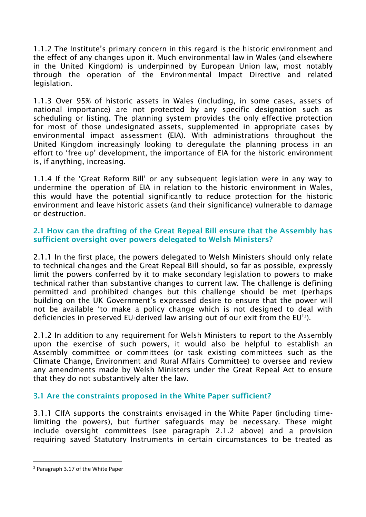1.1.2 The Institute's primary concern in this regard is the historic environment and the effect of any changes upon it. Much environmental law in Wales (and elsewhere in the United Kingdom) is underpinned by European Union law, most notably through the operation of the Environmental Impact Directive and related legislation.

1.1.3 Over 95% of historic assets in Wales (including, in some cases, assets of national importance) are not protected by any specific designation such as scheduling or listing. The planning system provides the only effective protection for most of those undesignated assets, supplemented in appropriate cases by environmental impact assessment (EIA). With administrations throughout the United Kingdom increasingly looking to deregulate the planning process in an effort to 'free up' development, the importance of EIA for the historic environment is, if anything, increasing.

1.1.4 If the 'Great Reform Bill' or any subsequent legislation were in any way to undermine the operation of EIA in relation to the historic environment in Wales, this would have the potential significantly to reduce protection for the historic environment and leave historic assets (and their significance) vulnerable to damage or destruction.

## **2.1 How can the drafting of the Great Repeal Bill ensure that the Assembly has sufficient oversight over powers delegated to Welsh Ministers?**

2.1.1 In the first place, the powers delegated to Welsh Ministers should only relate to technical changes and the Great Repeal Bill should, so far as possible, expressly limit the powers conferred by it to make secondary legislation to powers to make technical rather than substantive changes to current law. The challenge is defining permitted and prohibited changes but this challenge should be met (perhaps building on the UK Government's expressed desire to ensure that the power will not be available 'to make a policy change which is not designed to deal with deficiencies in preserved EU-derived law arising out of our exit from the EU'<sup>3</sup> ).

2.1.2 In addition to any requirement for Welsh Ministers to report to the Assembly upon the exercise of such powers, it would also be helpful to establish an Assembly committee or committees (or task existing committees such as the Climate Change, Environment and Rural Affairs Committee) to oversee and review any amendments made by Welsh Ministers under the Great Repeal Act to ensure that they do not substantively alter the law.

# **3.1 Are the constraints proposed in the White Paper sufficient?**

3.1.1 CIfA supports the constraints envisaged in the White Paper (including timelimiting the powers), but further safeguards may be necessary. These might include oversight committees (see paragraph 2.1.2 above) and a provision requiring saved Statutory Instruments in certain circumstances to be treated as

1

<sup>3</sup> Paragraph 3.17 of the White Paper